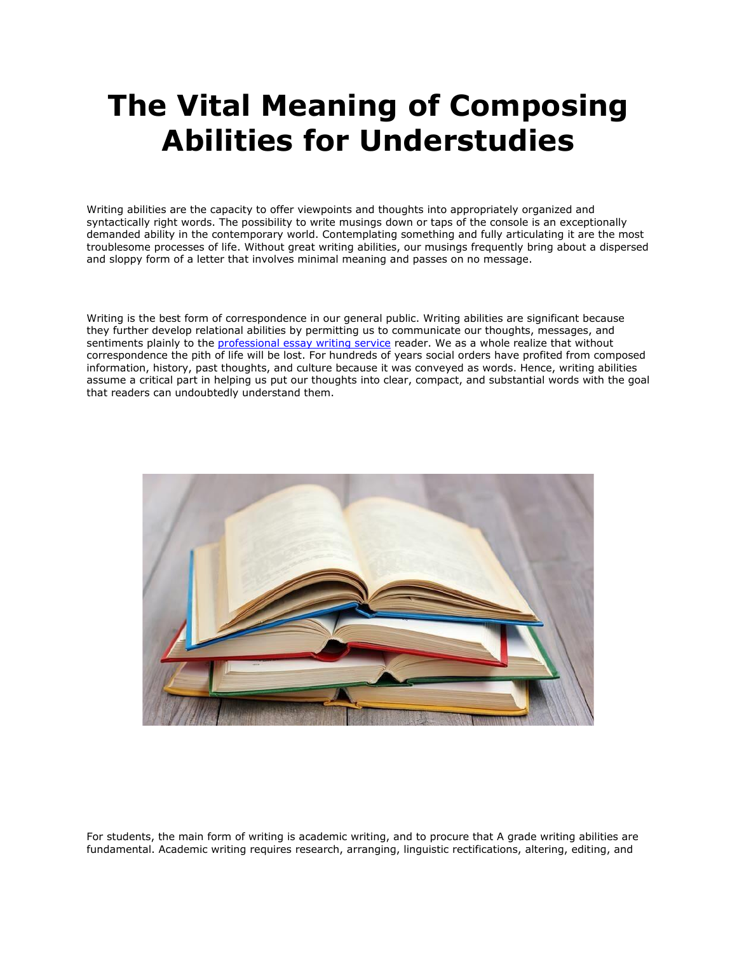## **The Vital Meaning of Composing Abilities for Understudies**

Writing abilities are the capacity to offer viewpoints and thoughts into appropriately organized and syntactically right words. The possibility to write musings down or taps of the console is an exceptionally demanded ability in the contemporary world. Contemplating something and fully articulating it are the most troublesome processes of life. Without great writing abilities, our musings frequently bring about a dispersed and sloppy form of a letter that involves minimal meaning and passes on no message.

Writing is the best form of correspondence in our general public. Writing abilities are significant because they further develop relational abilities by permitting us to communicate our thoughts, messages, and sentiments plainly to the [professional essay writing service](https://www.essaywritingservice.college/) reader. We as a whole realize that without correspondence the pith of life will be lost. For hundreds of years social orders have profited from composed information, history, past thoughts, and culture because it was conveyed as words. Hence, writing abilities assume a critical part in helping us put our thoughts into clear, compact, and substantial words with the goal that readers can undoubtedly understand them.



For students, the main form of writing is academic writing, and to procure that A grade writing abilities are fundamental. Academic writing requires research, arranging, linguistic rectifications, altering, editing, and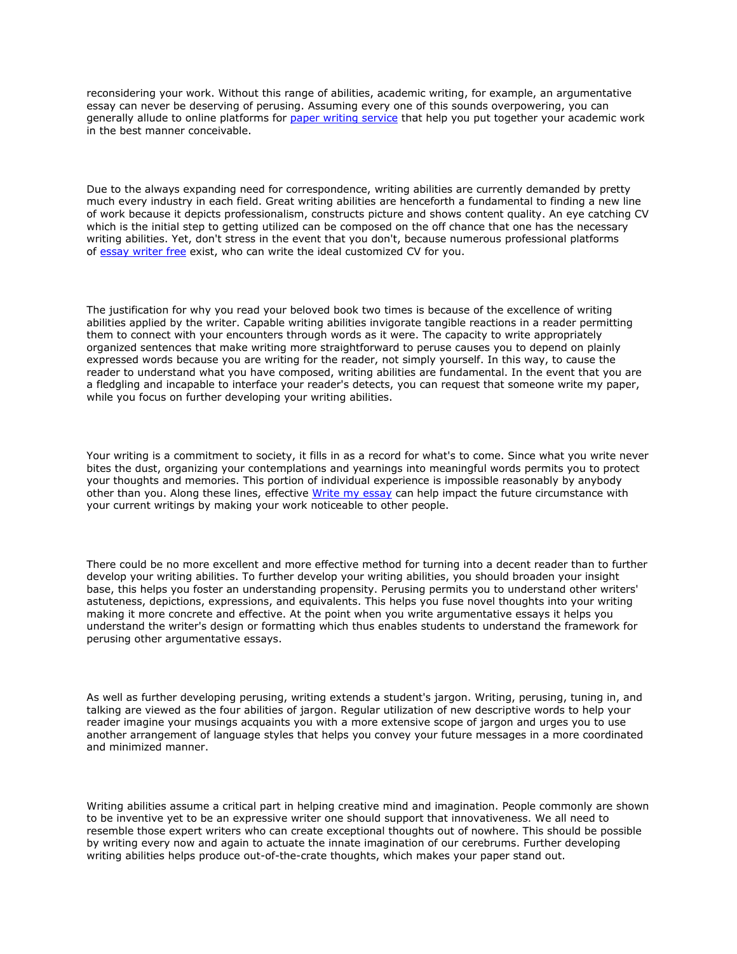reconsidering your work. Without this range of abilities, academic writing, for example, an argumentative essay can never be deserving of perusing. Assuming every one of this sounds overpowering, you can generally allude to online platforms for [paper writing service](https://www.sharkpapers.com/) that help you put together your academic work in the best manner conceivable.

Due to the always expanding need for correspondence, writing abilities are currently demanded by pretty much every industry in each field. Great writing abilities are henceforth a fundamental to finding a new line of work because it depicts professionalism, constructs picture and shows content quality. An eye catching CV which is the initial step to getting utilized can be composed on the off chance that one has the necessary writing abilities. Yet, don't stress in the event that you don't, because numerous professional platforms of [essay writer free](https://www.essaywriter.college/) exist, who can write the ideal customized CV for you.

The justification for why you read your beloved book two times is because of the excellence of writing abilities applied by the writer. Capable writing abilities invigorate tangible reactions in a reader permitting them to connect with your encounters through words as it were. The capacity to write appropriately organized sentences that make writing more straightforward to peruse causes you to depend on plainly expressed words because you are writing for the reader, not simply yourself. In this way, to cause the reader to understand what you have composed, writing abilities are fundamental. In the event that you are a fledgling and incapable to interface your reader's detects, you can request that someone write my paper, while you focus on further developing your writing abilities.

Your writing is a commitment to society, it fills in as a record for what's to come. Since what you write never bites the dust, organizing your contemplations and yearnings into meaningful words permits you to protect your thoughts and memories. This portion of individual experience is impossible reasonably by anybody other than you. Along these lines, effective [Write my essay](https://essayhours.com/) can help impact the future circumstance with your current writings by making your work noticeable to other people.

There could be no more excellent and more effective method for turning into a decent reader than to further develop your writing abilities. To further develop your writing abilities, you should broaden your insight base, this helps you foster an understanding propensity. Perusing permits you to understand other writers' astuteness, depictions, expressions, and equivalents. This helps you fuse novel thoughts into your writing making it more concrete and effective. At the point when you write argumentative essays it helps you understand the writer's design or formatting which thus enables students to understand the framework for perusing other argumentative essays.

As well as further developing perusing, writing extends a student's jargon. Writing, perusing, tuning in, and talking are viewed as the four abilities of jargon. Regular utilization of new descriptive words to help your reader imagine your musings acquaints you with a more extensive scope of jargon and urges you to use another arrangement of language styles that helps you convey your future messages in a more coordinated and minimized manner.

Writing abilities assume a critical part in helping creative mind and imagination. People commonly are shown to be inventive yet to be an expressive writer one should support that innovativeness. We all need to resemble those expert writers who can create exceptional thoughts out of nowhere. This should be possible by writing every now and again to actuate the innate imagination of our cerebrums. Further developing writing abilities helps produce out-of-the-crate thoughts, which makes your paper stand out.